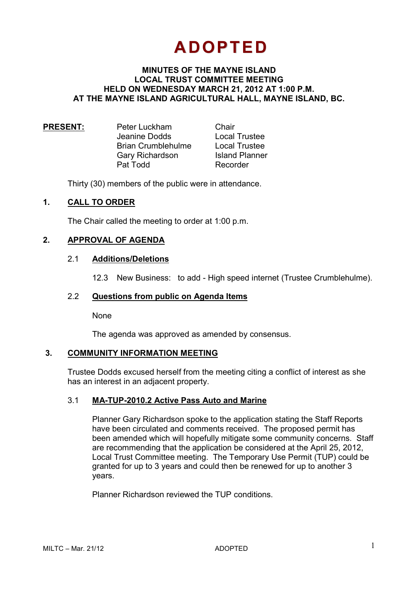# **ADOPTED**

# **MINUTES OF THE MAYNE ISLAND LOCAL TRUST COMMITTEE MEETING HELD ON WEDNESDAY MARCH 21, 2012 AT 1:00 P.M. AT THE MAYNE ISLAND AGRICULTURAL HALL, MAYNE ISLAND, BC.**

| <b>Local Trustee</b>  |
|-----------------------|
| <b>Local Trustee</b>  |
| <b>Island Planner</b> |
|                       |
|                       |

Thirty (30) members of the public were in attendance.

## **1. CALL TO ORDER**

The Chair called the meeting to order at 1:00 p.m.

## **2. APPROVAL OF AGENDA**

#### 2.1 **Additions/Deletions**

12.3 New Business: to add - High speed internet (Trustee Crumblehulme).

#### 2.2 **Questions from public on Agenda Items**

None

The agenda was approved as amended by consensus.

#### **3. COMMUNITY INFORMATION MEETING**

Trustee Dodds excused herself from the meeting citing a conflict of interest as she has an interest in an adjacent property.

#### 3.1 **MA-TUP-2010.2 Active Pass Auto and Marine**

 Planner Gary Richardson spoke to the application stating the Staff Reports have been circulated and comments received. The proposed permit has been amended which will hopefully mitigate some community concerns. Staff are recommending that the application be considered at the April 25, 2012, Local Trust Committee meeting. The Temporary Use Permit (TUP) could be granted for up to 3 years and could then be renewed for up to another 3 years.

Planner Richardson reviewed the TUP conditions.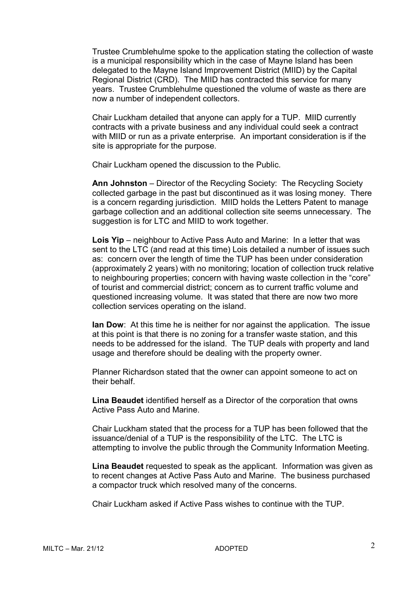Trustee Crumblehulme spoke to the application stating the collection of waste is a municipal responsibility which in the case of Mayne Island has been delegated to the Mayne Island Improvement District (MIID) by the Capital Regional District (CRD). The MIID has contracted this service for many years. Trustee Crumblehulme questioned the volume of waste as there are now a number of independent collectors.

 Chair Luckham detailed that anyone can apply for a TUP. MIID currently contracts with a private business and any individual could seek a contract with MIID or run as a private enterprise. An important consideration is if the site is appropriate for the purpose.

Chair Luckham opened the discussion to the Public.

**Ann Johnston** – Director of the Recycling Society: The Recycling Society collected garbage in the past but discontinued as it was losing money. There is a concern regarding jurisdiction. MIID holds the Letters Patent to manage garbage collection and an additional collection site seems unnecessary. The suggestion is for LTC and MIID to work together.

**Lois Yip** – neighbour to Active Pass Auto and Marine: In a letter that was sent to the LTC (and read at this time) Lois detailed a number of issues such as: concern over the length of time the TUP has been under consideration (approximately 2 years) with no monitoring; location of collection truck relative to neighbouring properties; concern with having waste collection in the "core" of tourist and commercial district; concern as to current traffic volume and questioned increasing volume. It was stated that there are now two more collection services operating on the island.

**Ian Dow**: At this time he is neither for nor against the application. The issue at this point is that there is no zoning for a transfer waste station, and this needs to be addressed for the island. The TUP deals with property and land usage and therefore should be dealing with the property owner.

Planner Richardson stated that the owner can appoint someone to act on their behalf.

**Lina Beaudet** identified herself as a Director of the corporation that owns Active Pass Auto and Marine.

Chair Luckham stated that the process for a TUP has been followed that the issuance/denial of a TUP is the responsibility of the LTC. The LTC is attempting to involve the public through the Community Information Meeting.

**Lina Beaudet** requested to speak as the applicant. Information was given as to recent changes at Active Pass Auto and Marine. The business purchased a compactor truck which resolved many of the concerns.

Chair Luckham asked if Active Pass wishes to continue with the TUP.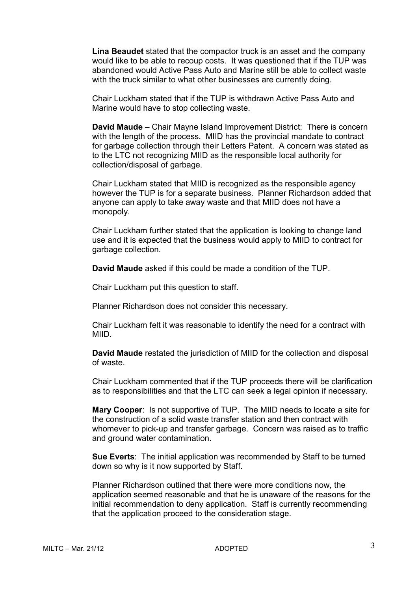**Lina Beaudet** stated that the compactor truck is an asset and the company would like to be able to recoup costs. It was questioned that if the TUP was abandoned would Active Pass Auto and Marine still be able to collect waste with the truck similar to what other businesses are currently doing.

 Chair Luckham stated that if the TUP is withdrawn Active Pass Auto and Marine would have to stop collecting waste.

**David Maude** – Chair Mayne Island Improvement District: There is concern with the length of the process. MIID has the provincial mandate to contract for garbage collection through their Letters Patent. A concern was stated as to the LTC not recognizing MIID as the responsible local authority for collection/disposal of garbage.

 Chair Luckham stated that MIID is recognized as the responsible agency however the TUP is for a separate business. Planner Richardson added that anyone can apply to take away waste and that MIID does not have a monopoly.

Chair Luckham further stated that the application is looking to change land use and it is expected that the business would apply to MIID to contract for garbage collection.

**David Maude** asked if this could be made a condition of the TUP.

Chair Luckham put this question to staff.

Planner Richardson does not consider this necessary.

Chair Luckham felt it was reasonable to identify the need for a contract with MIID.

**David Maude** restated the jurisdiction of MIID for the collection and disposal of waste.

Chair Luckham commented that if the TUP proceeds there will be clarification as to responsibilities and that the LTC can seek a legal opinion if necessary.

**Mary Cooper**: Is not supportive of TUP. The MIID needs to locate a site for the construction of a solid waste transfer station and then contract with whomever to pick-up and transfer garbage. Concern was raised as to traffic and ground water contamination.

**Sue Everts**: The initial application was recommended by Staff to be turned down so why is it now supported by Staff.

Planner Richardson outlined that there were more conditions now, the application seemed reasonable and that he is unaware of the reasons for the initial recommendation to deny application. Staff is currently recommending that the application proceed to the consideration stage.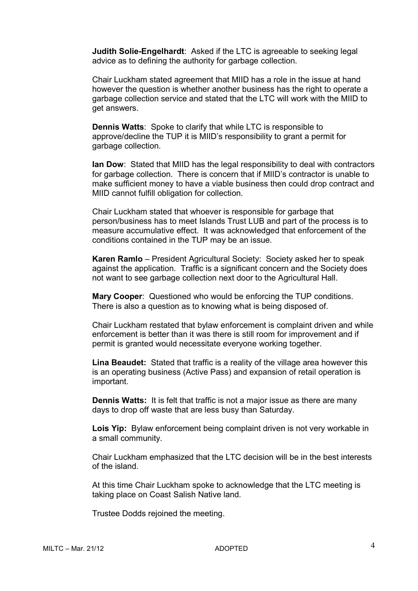**Judith Solie-Engelhardt**: Asked if the LTC is agreeable to seeking legal advice as to defining the authority for garbage collection.

 Chair Luckham stated agreement that MIID has a role in the issue at hand however the question is whether another business has the right to operate a garbage collection service and stated that the LTC will work with the MIID to get answers.

**Dennis Watts**: Spoke to clarify that while LTC is responsible to approve/decline the TUP it is MIID's responsibility to grant a permit for garbage collection.

**Ian Dow**: Stated that MIID has the legal responsibility to deal with contractors for garbage collection. There is concern that if MIID's contractor is unable to make sufficient money to have a viable business then could drop contract and MIID cannot fulfill obligation for collection.

 Chair Luckham stated that whoever is responsible for garbage that person/business has to meet Islands Trust LUB and part of the process is to measure accumulative effect. It was acknowledged that enforcement of the conditions contained in the TUP may be an issue.

**Karen Ramlo** – President Agricultural Society: Society asked her to speak against the application. Traffic is a significant concern and the Society does not want to see garbage collection next door to the Agricultural Hall.

**Mary Cooper**: Questioned who would be enforcing the TUP conditions. There is also a question as to knowing what is being disposed of.

Chair Luckham restated that bylaw enforcement is complaint driven and while enforcement is better than it was there is still room for improvement and if permit is granted would necessitate everyone working together.

**Lina Beaudet:** Stated that traffic is a reality of the village area however this is an operating business (Active Pass) and expansion of retail operation is important.

**Dennis Watts:** It is felt that traffic is not a major issue as there are many days to drop off waste that are less busy than Saturday.

**Lois Yip:** Bylaw enforcement being complaint driven is not very workable in a small community.

Chair Luckham emphasized that the LTC decision will be in the best interests of the island.

At this time Chair Luckham spoke to acknowledge that the LTC meeting is taking place on Coast Salish Native land.

Trustee Dodds rejoined the meeting.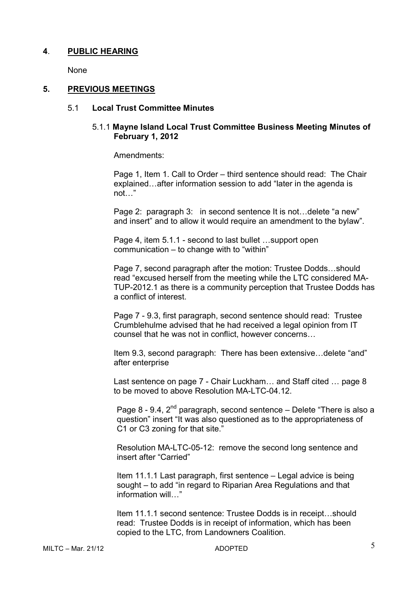# **4**. **PUBLIC HEARING**

None

## **5. PREVIOUS MEETINGS**

#### 5.1 **Local Trust Committee Minutes**

## 5.1.1 **Mayne Island Local Trust Committee Business Meeting Minutes of February 1, 2012**

Amendments:

Page 1, Item 1. Call to Order – third sentence should read: The Chair explained...after information session to add "later in the agenda is  $not \,$ "

Page 2: paragraph 3: in second sentence It is not...delete "a new" and insert" and to allow it would require an amendment to the bylaw".

Page 4, item  $5.1.1$  - second to last bullet  $\dots$ support open communication – to change with to "within"

Page 7, second paragraph after the motion: Trustee Dodds...should read "excused herself from the meeting while the LTC considered MA-TUP-2012.1 as there is a community perception that Trustee Dodds has a conflict of interest.

Page 7 - 9.3, first paragraph, second sentence should read: Trustee Crumblehulme advised that he had received a legal opinion from IT counsel that he was not in conflict, however concerns...

Item 9.3, second paragraph: There has been extensive...delete "and" after enterprise

Last sentence on page 7 - Chair Luckham ... and Staff cited ... page 8 to be moved to above Resolution MA-LTC-04.12.

Page 8 - 9.4,  $2^{nd}$  paragraph, second sentence – Delete "There is also a question" insert "It was also questioned as to the appropriateness of C1 or C3 zoning for that site."

Resolution MA-LTC-05-12: remove the second long sentence and insert after "Carried"

Item 11.1.1 Last paragraph, first sentence – Legal advice is being sought – to add "in regard to Riparian Area Regulations and that  $information$  will..."

Item 11.1.1 second sentence: Trustee Dodds is in receipt...should read: Trustee Dodds is in receipt of information, which has been copied to the LTC, from Landowners Coalition.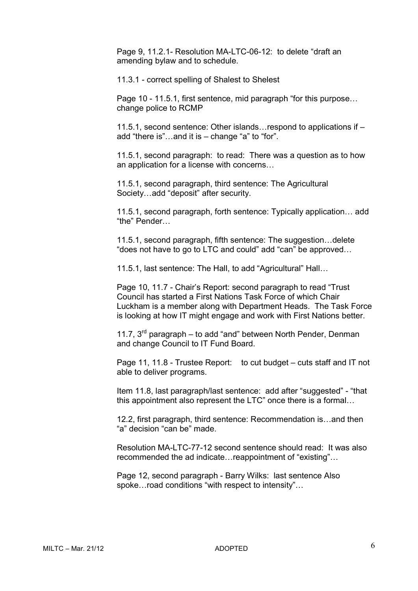Page 9, 11.2.1- Resolution MA-LTC-06-12: to delete "draft an amending bylaw and to schedule.

11.3.1 - correct spelling of Shalest to Shelest

Page  $10 - 11.5.1$ , first sentence, mid paragraph "for this purpose... change police to RCMP

11.5.1, second sentence: Other islands... respond to applications if  $$ add "there is"...and it is  $-$  change "a" to "for".

11.5.1, second paragraph: to read: There was a question as to how an application for a license with concerns...

11.5.1, second paragraph, third sentence: The Agricultural Society...add "deposit" after security.

11.5.1, second paragraph, forth sentence: Typically application... add "the" Pender...

11.5.1, second paragraph, fifth sentence: The suggestion... delete "does not have to go to LTC and could" add "can" be approved...

11.5.1, last sentence: The Hall, to add "Agricultural" Hall...

Page 10, 11.7 - Chair's Report: second paragraph to read "Trust Council has started a First Nations Task Force of which Chair Luckham is a member along with Department Heads. The Task Force is looking at how IT might engage and work with First Nations better.

11.7.  $3^{rd}$  paragraph – to add "and" between North Pender, Denman and change Council to IT Fund Board.

Page 11, 11.8 - Trustee Report: to cut budget – cuts staff and IT not able to deliver programs.

Item 11.8, last paragraph/last sentence: add after "suggested" - "that this appointment also represent the LTC" once there is a formal...

12.2, first paragraph, third sentence: Recommendation is... and then "a" decision "can be" made.

Resolution MA-LTC-77-12 second sentence should read: It was also recommended the ad indicate... reappointment of "existing"...

Page 12, second paragraph - Barry Wilks: last sentence Also spoke... road conditions "with respect to intensity"...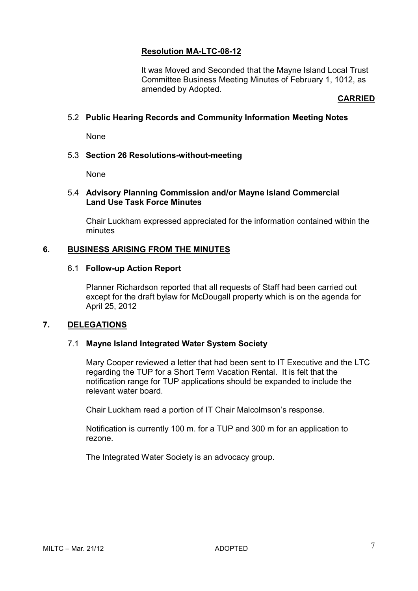# **Resolution MA-LTC-08-12**

It was Moved and Seconded that the Mayne Island Local Trust Committee Business Meeting Minutes of February 1, 1012, as amended by Adopted.

#### **CARRIED**

## 5.2 **Public Hearing Records and Community Information Meeting Notes**

None

#### 5.3 **Section 26 Resolutions-without-meeting**

None

#### 5.4 **Advisory Planning Commission and/or Mayne Island Commercial Land Use Task Force Minutes**

Chair Luckham expressed appreciated for the information contained within the minutes

## **6. BUSINESS ARISING FROM THE MINUTES**

#### 6.1 **Follow-up Action Report**

Planner Richardson reported that all requests of Staff had been carried out except for the draft bylaw for McDougall property which is on the agenda for April 25, 2012

#### **7. DELEGATIONS**

#### 7.1 **Mayne Island Integrated Water System Society**

Mary Cooper reviewed a letter that had been sent to IT Executive and the LTC regarding the TUP for a Short Term Vacation Rental. It is felt that the notification range for TUP applications should be expanded to include the relevant water board.

Chair Luckham read a portion of IT Chair Malcolmson's response.

Notification is currently 100 m. for a TUP and 300 m for an application to rezone.

The Integrated Water Society is an advocacy group.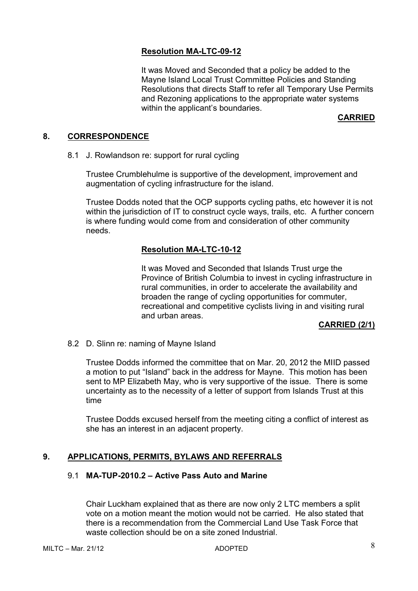# **Resolution MA-LTC-09-12**

It was Moved and Seconded that a policy be added to the Mayne Island Local Trust Committee Policies and Standing Resolutions that directs Staff to refer all Temporary Use Permits and Rezoning applications to the appropriate water systems within the applicant's boundaries.

#### **CARRIED**

## **8. CORRESPONDENCE**

8.1 J. Rowlandson re: support for rural cycling

Trustee Crumblehulme is supportive of the development, improvement and augmentation of cycling infrastructure for the island.

Trustee Dodds noted that the OCP supports cycling paths, etc however it is not within the jurisdiction of IT to construct cycle ways, trails, etc. A further concern is where funding would come from and consideration of other community needs.

# **Resolution MA-LTC-10-12**

It was Moved and Seconded that Islands Trust urge the Province of British Columbia to invest in cycling infrastructure in rural communities, in order to accelerate the availability and broaden the range of cycling opportunities for commuter, recreational and competitive cyclists living in and visiting rural and urban areas.

#### **CARRIED (2/1)**

8.2 D. Slinn re: naming of Mayne Island

Trustee Dodds informed the committee that on Mar. 20, 2012 the MIID passed a motion to put "Island" back in the address for Mayne. This motion has been sent to MP Elizabeth May, who is very supportive of the issue. There is some uncertainty as to the necessity of a letter of support from Islands Trust at this time

Trustee Dodds excused herself from the meeting citing a conflict of interest as she has an interest in an adjacent property.

# **9. APPLICATIONS, PERMITS, BYLAWS AND REFERRALS**

## 9.1 **MA-TUP-2010.2 – Active Pass Auto and Marine**

Chair Luckham explained that as there are now only 2 LTC members a split vote on a motion meant the motion would not be carried. He also stated that there is a recommendation from the Commercial Land Use Task Force that waste collection should be on a site zoned Industrial.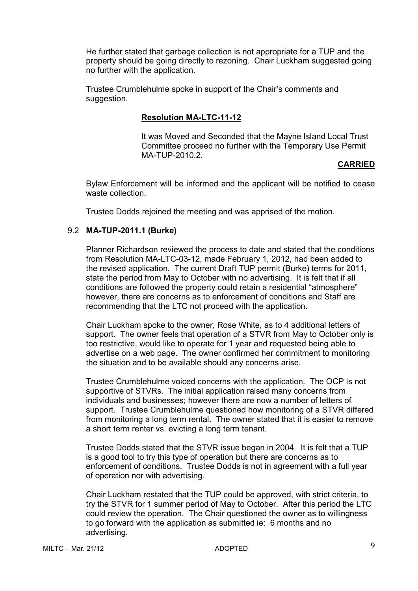He further stated that garbage collection is not appropriate for a TUP and the property should be going directly to rezoning. Chair Luckham suggested going no further with the application.

Trustee Crumblehulme spoke in support of the Chair's comments and suggestion.

# **Resolution MA-LTC-11-12**

It was Moved and Seconded that the Mayne Island Local Trust Committee proceed no further with the Temporary Use Permit MA-TUP-2010.2.

## **CARRIED**

Bylaw Enforcement will be informed and the applicant will be notified to cease waste collection.

Trustee Dodds rejoined the meeting and was apprised of the motion.

# 9.2 **MA-TUP-2011.1 (Burke)**

Planner Richardson reviewed the process to date and stated that the conditions from Resolution MA-LTC-03-12, made February 1, 2012, had been added to the revised application. The current Draft TUP permit (Burke) terms for 2011, state the period from May to October with no advertising. It is felt that if all conditions are followed the property could retain a residential "atmosphere" however, there are concerns as to enforcement of conditions and Staff are recommending that the LTC not proceed with the application.

Chair Luckham spoke to the owner, Rose White, as to 4 additional letters of support. The owner feels that operation of a STVR from May to October only is too restrictive, would like to operate for 1 year and requested being able to advertise on a web page. The owner confirmed her commitment to monitoring the situation and to be available should any concerns arise.

Trustee Crumblehulme voiced concerns with the application. The OCP is not supportive of STVRs. The initial application raised many concerns from individuals and businesses; however there are now a number of letters of support. Trustee Crumblehulme questioned how monitoring of a STVR differed from monitoring a long term rental. The owner stated that it is easier to remove a short term renter vs. evicting a long term tenant.

Trustee Dodds stated that the STVR issue began in 2004. It is felt that a TUP is a good tool to try this type of operation but there are concerns as to enforcement of conditions. Trustee Dodds is not in agreement with a full year of operation nor with advertising.

Chair Luckham restated that the TUP could be approved, with strict criteria, to try the STVR for 1 summer period of May to October. After this period the LTC could review the operation. The Chair questioned the owner as to willingness to go forward with the application as submitted ie: 6 months and no advertising.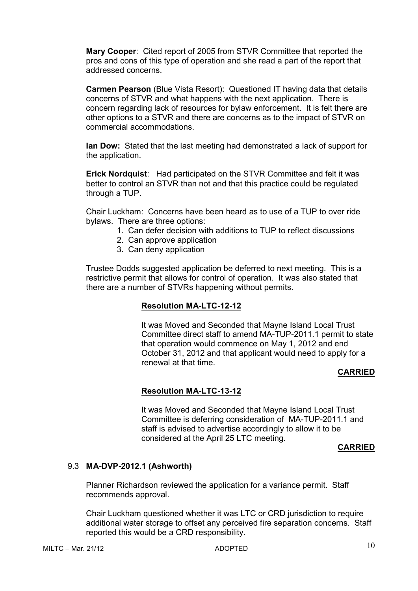**Mary Cooper**: Cited report of 2005 from STVR Committee that reported the pros and cons of this type of operation and she read a part of the report that addressed concerns.

**Carmen Pearson** (Blue Vista Resort): Questioned IT having data that details concerns of STVR and what happens with the next application. There is concern regarding lack of resources for bylaw enforcement. It is felt there are other options to a STVR and there are concerns as to the impact of STVR on commercial accommodations.

**Ian Dow:** Stated that the last meeting had demonstrated a lack of support for the application.

**Erick Nordquist**: Had participated on the STVR Committee and felt it was better to control an STVR than not and that this practice could be regulated through a TUP.

Chair Luckham: Concerns have been heard as to use of a TUP to over ride bylaws. There are three options:

- 1. Can defer decision with additions to TUP to reflect discussions
- 2. Can approve application
- 3. Can deny application

Trustee Dodds suggested application be deferred to next meeting. This is a restrictive permit that allows for control of operation. It was also stated that there are a number of STVRs happening without permits.

# **Resolution MA-LTC-12-12**

It was Moved and Seconded that Mayne Island Local Trust Committee direct staff to amend MA-TUP-2011.1 permit to state that operation would commence on May 1, 2012 and end October 31, 2012 and that applicant would need to apply for a renewal at that time.

#### **CARRIED**

# **Resolution MA-LTC-13-12**

It was Moved and Seconded that Mayne Island Local Trust Committee is deferring consideration of MA-TUP-2011.1 and staff is advised to advertise accordingly to allow it to be considered at the April 25 LTC meeting.

#### **CARRIED**

#### 9.3 **MA-DVP-2012.1 (Ashworth)**

Planner Richardson reviewed the application for a variance permit. Staff recommends approval.

Chair Luckham questioned whether it was LTC or CRD jurisdiction to require additional water storage to offset any perceived fire separation concerns. Staff reported this would be a CRD responsibility.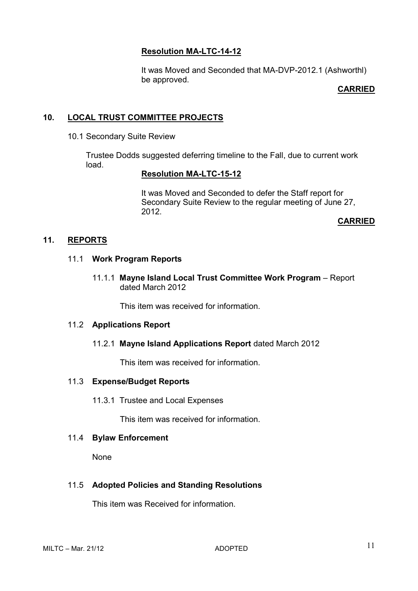# **Resolution MA-LTC-14-12**

It was Moved and Seconded that MA-DVP-2012.1 (Ashworthl) be approved.

# **CARRIED**

# **10. LOCAL TRUST COMMITTEE PROJECTS**

10.1 Secondary Suite Review

Trustee Dodds suggested deferring timeline to the Fall, due to current work load.

# **Resolution MA-LTC-15-12**

It was Moved and Seconded to defer the Staff report for Secondary Suite Review to the regular meeting of June 27, 2012.

**CARRIED** 

# **11. REPORTS**

# 11.1 **Work Program Reports**

11.1.1 **Mayne Island Local Trust Committee Work Program** – Report dated March 2012

This item was received for information.

#### 11.2 **Applications Report**

# 11.2.1 **Mayne Island Applications Report** dated March 2012

This item was received for information.

# 11.3 **Expense/Budget Reports**

11.3.1 Trustee and Local Expenses

This item was received for information.

#### 11.4 **Bylaw Enforcement**

None

# 11.5 **Adopted Policies and Standing Resolutions**

This item was Received for information.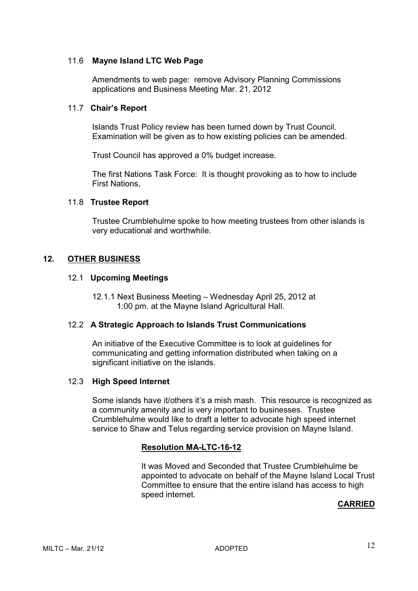## 11.6 **Mayne Island LTC Web Page**

Amendments to web page: remove Advisory Planning Commissions applications and Business Meeting Mar. 21, 2012

#### 11.7 **Chair's Report**

Islands Trust Policy review has been turned down by Trust Council. Examination will be given as to how existing policies can be amended.

Trust Council has approved a 0% budget increase.

The first Nations Task Force: It is thought provoking as to how to include First Nations,

## 11.8 **Trustee Report**

Trustee Crumblehulme spoke to how meeting trustees from other islands is very educational and worthwhile.

# **12. OTHER BUSINESS**

## 12.1 **Upcoming Meetings**

12.1.1 Next Business Meeting – Wednesday April 25, 2012 at 1:00 pm. at the Mayne Island Agricultural Hall.

#### 12.2 **A Strategic Approach to Islands Trust Communications**

An initiative of the Executive Committee is to look at guidelines for communicating and getting information distributed when taking on a significant initiative on the islands.

#### 12.3 **High Speed Internet**

Some islands have it/others it's a mish mash. This resource is recognized as a community amenity and is very important to businesses. Trustee Crumblehulme would like to draft a letter to advocate high speed internet service to Shaw and Telus regarding service provision on Mayne Island.

# **Resolution MA-LTC-16-12**

It was Moved and Seconded that Trustee Crumblehulme be appointed to advocate on behalf of the Mayne Island Local Trust Committee to ensure that the entire island has access to high speed internet.

# **CARRIED**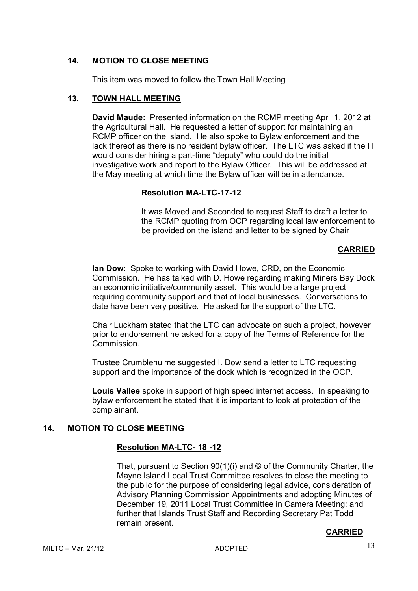# **14. MOTION TO CLOSE MEETING**

This item was moved to follow the Town Hall Meeting

# **13. TOWN HALL MEETING**

**David Maude:** Presented information on the RCMP meeting April 1, 2012 at the Agricultural Hall. He requested a letter of support for maintaining an RCMP officer on the island. He also spoke to Bylaw enforcement and the lack thereof as there is no resident bylaw officer. The LTC was asked if the IT would consider hiring a part-time "deputy" who could do the initial investigative work and report to the Bylaw Officer. This will be addressed at the May meeting at which time the Bylaw officer will be in attendance.

## **Resolution MA-LTC-17-12**

It was Moved and Seconded to request Staff to draft a letter to the RCMP quoting from OCP regarding local law enforcement to be provided on the island and letter to be signed by Chair

# **CARRIED**

**Ian Dow**: Spoke to working with David Howe, CRD, on the Economic Commission. He has talked with D. Howe regarding making Miners Bay Dock an economic initiative/community asset. This would be a large project requiring community support and that of local businesses. Conversations to date have been very positive. He asked for the support of the LTC.

Chair Luckham stated that the LTC can advocate on such a project, however prior to endorsement he asked for a copy of the Terms of Reference for the Commission.

Trustee Crumblehulme suggested I. Dow send a letter to LTC requesting support and the importance of the dock which is recognized in the OCP.

**Louis Vallee** spoke in support of high speed internet access. In speaking to bylaw enforcement he stated that it is important to look at protection of the complainant.

# **14. MOTION TO CLOSE MEETING**

# **Resolution MA-LTC- 18 -12**

That, pursuant to Section 90(1)(i) and © of the Community Charter, the Mayne Island Local Trust Committee resolves to close the meeting to the public for the purpose of considering legal advice, consideration of Advisory Planning Commission Appointments and adopting Minutes of December 19, 2011 Local Trust Committee in Camera Meeting; and further that Islands Trust Staff and Recording Secretary Pat Todd remain present.

# **CARRIED**